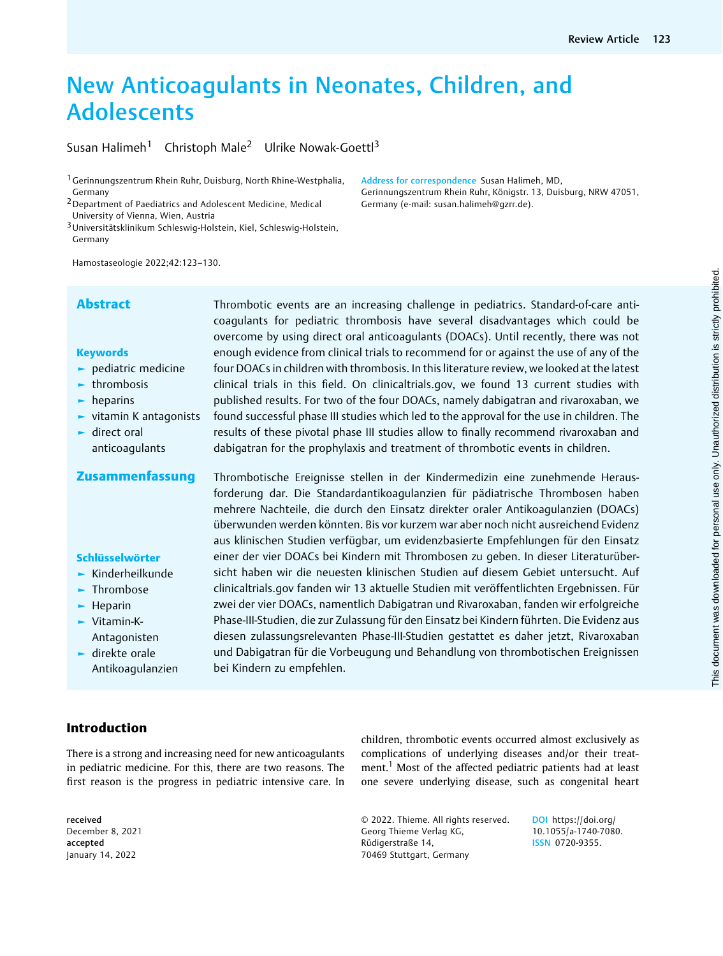# New Anticoagulants in Neonates, Children, and Adolescents

Susan Halimeh<sup>1</sup> Christoph Male<sup>2</sup> Ulrike Nowak-Goettl<sup>3</sup>

1Gerinnungszentrum Rhein Ruhr, Duisburg, North Rhine-Westphalia, Germany

2Department of Paediatrics and Adolescent Medicine, Medical University of Vienna, Wien, Austria

3Universitätsklinikum Schleswig-Holstein, Kiel, Schleswig-Holstein, Germany

Hamostaseologie 2022;42:123–130.

#### **Keywords**

- ► pediatric medicine
- ► thrombosis
- ► heparins
- ► vitamin K antagonists
- ► direct oral anticoagulants
- 

#### Schlüsselwörter

- ► Kinderheilkunde
- ► Thrombose
- ► Heparin
- ► Vitamin-K-Antagonisten
- ► direkte orale Antikoagulanzien

Abstract Thrombotic events are an increasing challenge in pediatrics. Standard-of-care anticoagulants for pediatric thrombosis have several disadvantages which could be overcome by using direct oral anticoagulants (DOACs). Until recently, there was not enough evidence from clinical trials to recommend for or against the use of any of the four DOACs in children with thrombosis. In this literature review, we looked at the latest clinical trials in this field. On clinicaltrials.gov, we found 13 current studies with published results. For two of the four DOACs, namely dabigatran and rivaroxaban, we found successful phase III studies which led to the approval for the use in children. The results of these pivotal phase III studies allow to finally recommend rivaroxaban and dabigatran for the prophylaxis and treatment of thrombotic events in children.

Address for correspondence Susan Halimeh, MD,

Germany (e-mail: [susan.halimeh@gzrr.de](mailto:susan.halimeh@gzrr.de)).

Gerinnungszentrum Rhein Ruhr, Königstr. 13, Duisburg, NRW 47051,

Zusammenfassung Thrombotische Ereignisse stellen in der Kindermedizin eine zunehmende Herausforderung dar. Die Standardantikoagulanzien für pädiatrische Thrombosen haben mehrere Nachteile, die durch den Einsatz direkter oraler Antikoagulanzien (DOACs) überwunden werden könnten. Bis vor kurzem war aber noch nicht ausreichend Evidenz aus klinischen Studien verfügbar, um evidenzbasierte Empfehlungen für den Einsatz einer der vier DOACs bei Kindern mit Thrombosen zu geben. In dieser Literaturübersicht haben wir die neuesten klinischen Studien auf diesem Gebiet untersucht. Auf clinicaltrials.gov fanden wir 13 aktuelle Studien mit veröffentlichten Ergebnissen. Für zwei der vier DOACs, namentlich Dabigatran und Rivaroxaban, fanden wir erfolgreiche Phase-III-Studien, die zur Zulassung für den Einsatz bei Kindern führten. Die Evidenz aus diesen zulassungsrelevanten Phase-III-Studien gestattet es daher jetzt, Rivaroxaban und Dabigatran für die Vorbeugung und Behandlung von thrombotischen Ereignissen bei Kindern zu empfehlen.

# Introduction

There is a strong and increasing need for new anticoagulants in pediatric medicine. For this, there are two reasons. The first reason is the progress in pediatric intensive care. In

children, thrombotic events occurred almost exclusively as complications of underlying diseases and/or their treatment.<sup>1</sup> Most of the affected pediatric patients had at least one severe underlying disease, such as congenital heart

© 2022. Thieme. All rights reserved. Georg Thieme Verlag KG, Rüdigerstraße 14, 70469 Stuttgart, Germany

DOI [https://doi.org/](https://doi.org/10.1055/a-1740-7080) [10.1055/a-1740-7080.](https://doi.org/10.1055/a-1740-7080) ISSN 0720-9355.

received December 8, 2021 accepted January 14, 2022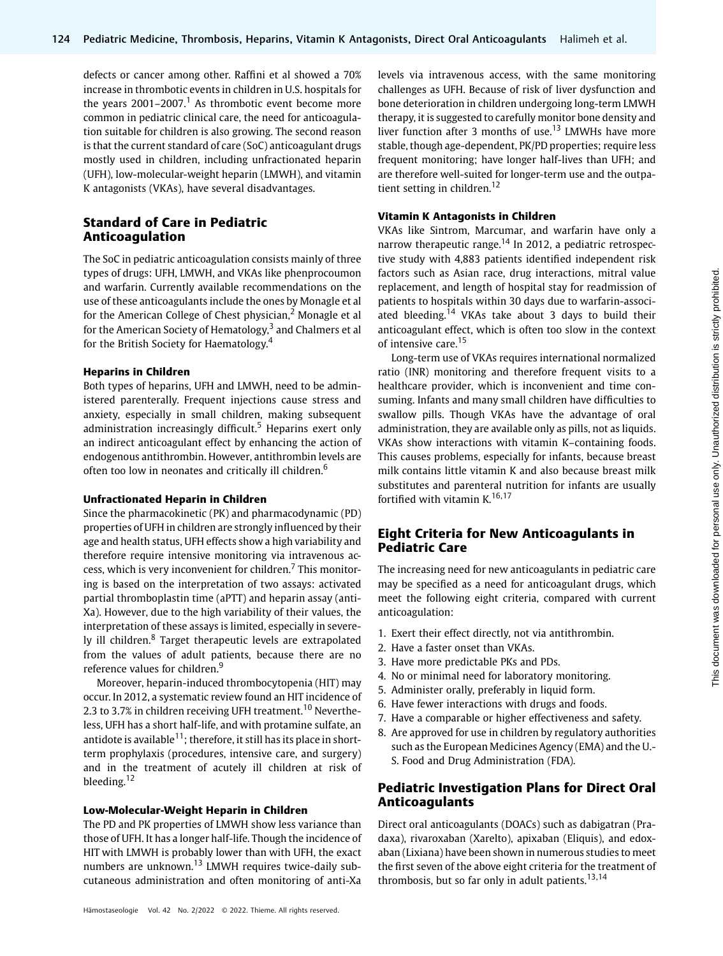defects or cancer among other. Raffini et al showed a 70% increase in thrombotic events in children in U.S. hospitals for the years  $2001-2007$ .<sup>1</sup> As thrombotic event become more common in pediatric clinical care, the need for anticoagulation suitable for children is also growing. The second reason is that the current standard of care (SoC) anticoagulant drugs mostly used in children, including unfractionated heparin (UFH), low-molecular-weight heparin (LMWH), and vitamin K antagonists (VKAs), have several disadvantages.

# Standard of Care in Pediatric Anticoagulation

The SoC in pediatric anticoagulation consists mainly of three types of drugs: UFH, LMWH, and VKAs like phenprocoumon and warfarin. Currently available recommendations on the use of these anticoagulants include the ones by Monagle et al for the American College of Chest physician,<sup>2</sup> Monagle et al for the American Society of Hematology, $3$  and Chalmers et al for the British Society for Haematology.<sup>4</sup>

#### Heparins in Children

Both types of heparins, UFH and LMWH, need to be administered parenterally. Frequent injections cause stress and anxiety, especially in small children, making subsequent administration increasingly difficult.<sup>5</sup> Heparins exert only an indirect anticoagulant effect by enhancing the action of endogenous antithrombin. However, antithrombin levels are often too low in neonates and critically ill children.<sup>6</sup>

#### Unfractionated Heparin in Children

Since the pharmacokinetic (PK) and pharmacodynamic (PD) properties of UFH in children are strongly influenced by their age and health status, UFH effects show a high variability and therefore require intensive monitoring via intravenous access, which is very inconvenient for children.<sup>7</sup> This monitoring is based on the interpretation of two assays: activated partial thromboplastin time (aPTT) and heparin assay (anti-Xa). However, due to the high variability of their values, the interpretation of these assays is limited, especially in severely ill children.<sup>8</sup> Target therapeutic levels are extrapolated from the values of adult patients, because there are no reference values for children.<sup>9</sup>

Moreover, heparin-induced thrombocytopenia (HIT) may occur. In 2012, a systematic review found an HIT incidence of 2.3 to 3.7% in children receiving UFH treatment.<sup>10</sup> Nevertheless, UFH has a short half-life, and with protamine sulfate, an antidote is available $11$ ; therefore, it still has its place in shortterm prophylaxis (procedures, intensive care, and surgery) and in the treatment of acutely ill children at risk of bleeding.<sup>12</sup>

#### Low-Molecular-Weight Heparin in Children

The PD and PK properties of LMWH show less variance than those of UFH. It has a longer half-life. Though the incidence of HIT with LMWH is probably lower than with UFH, the exact numbers are unknown.<sup>13</sup> LMWH requires twice-daily subcutaneous administration and often monitoring of anti-Xa

levels via intravenous access, with the same monitoring challenges as UFH. Because of risk of liver dysfunction and bone deterioration in children undergoing long-term LMWH therapy, it is suggested to carefully monitor bone density and liver function after 3 months of use.<sup>13</sup> LMWHs have more stable, though age-dependent, PK/PD properties; require less frequent monitoring; have longer half-lives than UFH; and are therefore well-suited for longer-term use and the outpatient setting in children.<sup>12</sup>

#### Vitamin K Antagonists in Children

VKAs like Sintrom, Marcumar, and warfarin have only a narrow therapeutic range.<sup>14</sup> In 2012, a pediatric retrospective study with 4,883 patients identified independent risk factors such as Asian race, drug interactions, mitral value replacement, and length of hospital stay for readmission of patients to hospitals within 30 days due to warfarin-associated bleeding.<sup>14</sup> VKAs take about 3 days to build their anticoagulant effect, which is often too slow in the context of intensive care.<sup>15</sup>

Long-term use of VKAs requires international normalized ratio (INR) monitoring and therefore frequent visits to a healthcare provider, which is inconvenient and time consuming. Infants and many small children have difficulties to swallow pills. Though VKAs have the advantage of oral administration, they are available only as pills, not as liquids. VKAs show interactions with vitamin K–containing foods. This causes problems, especially for infants, because breast milk contains little vitamin K and also because breast milk substitutes and parenteral nutrition for infants are usually fortified with vitamin  $K$ ,  $^{16,17}$ 

# Eight Criteria for New Anticoagulants in Pediatric Care

The increasing need for new anticoagulants in pediatric care may be specified as a need for anticoagulant drugs, which meet the following eight criteria, compared with current anticoagulation:

- 1. Exert their effect directly, not via antithrombin.
- 2. Have a faster onset than VKAs.
- 3. Have more predictable PKs and PDs.
- 4. No or minimal need for laboratory monitoring.
- 5. Administer orally, preferably in liquid form.
- 6. Have fewer interactions with drugs and foods.
- 7. Have a comparable or higher effectiveness and safety.
- 8. Are approved for use in children by regulatory authorities such as the European Medicines Agency (EMA) and the U.- S. Food and Drug Administration (FDA).

# Pediatric Investigation Plans for Direct Oral Anticoagulants

Direct oral anticoagulants (DOACs) such as dabigatran (Pradaxa), rivaroxaban (Xarelto), apixaban (Eliquis), and edoxaban (Lixiana) have been shown in numerous studies to meet the first seven of the above eight criteria for the treatment of thrombosis, but so far only in adult patients. $13,14$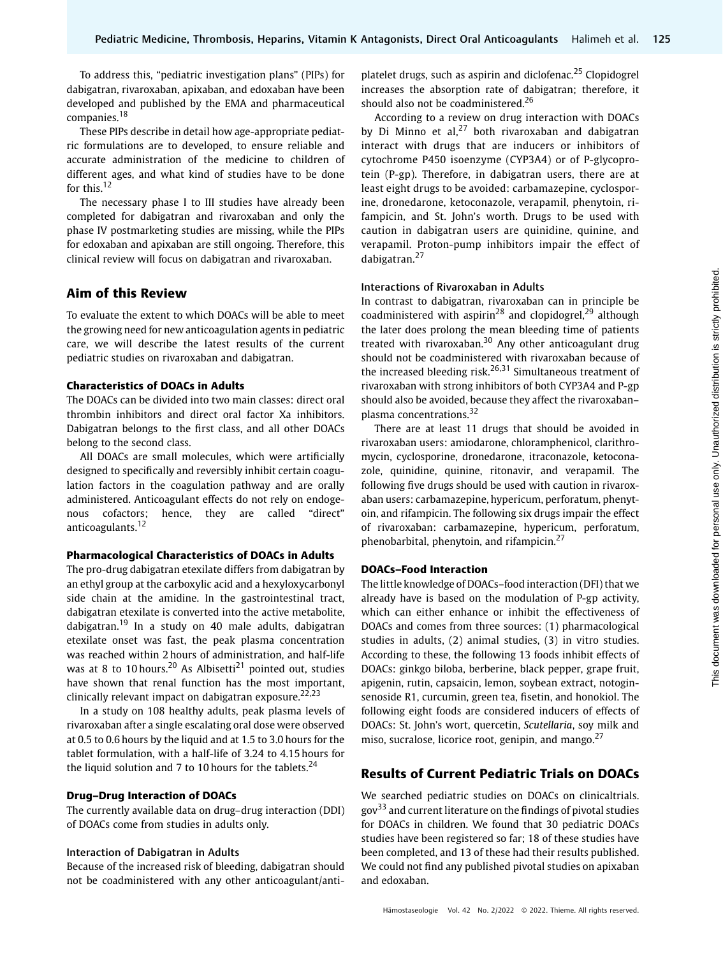To address this, "pediatric investigation plans" (PIPs) for dabigatran, rivaroxaban, apixaban, and edoxaban have been developed and published by the EMA and pharmaceutical companies.<sup>18</sup>

These PIPs describe in detail how age-appropriate pediatric formulations are to developed, to ensure reliable and accurate administration of the medicine to children of different ages, and what kind of studies have to be done for this.<sup>12</sup>

The necessary phase I to III studies have already been completed for dabigatran and rivaroxaban and only the phase IV postmarketing studies are missing, while the PIPs for edoxaban and apixaban are still ongoing. Therefore, this clinical review will focus on dabigatran and rivaroxaban.

# Aim of this Review

To evaluate the extent to which DOACs will be able to meet the growing need for new anticoagulation agents in pediatric care, we will describe the latest results of the current pediatric studies on rivaroxaban and dabigatran.

#### Characteristics of DOACs in Adults

The DOACs can be divided into two main classes: direct oral thrombin inhibitors and direct oral factor Xa inhibitors. Dabigatran belongs to the first class, and all other DOACs belong to the second class.

All DOACs are small molecules, which were artificially designed to specifically and reversibly inhibit certain coagulation factors in the coagulation pathway and are orally administered. Anticoagulant effects do not rely on endogenous cofactors; hence, they are called "direct" anticoagulants.<sup>12</sup>

#### Pharmacological Characteristics of DOACs in Adults

The pro-drug dabigatran etexilate differs from dabigatran by an ethyl group at the carboxylic acid and a hexyloxycarbonyl side chain at the amidine. In the gastrointestinal tract, dabigatran etexilate is converted into the active metabolite, dabigatran.<sup>19</sup> In a study on 40 male adults, dabigatran etexilate onset was fast, the peak plasma concentration was reached within 2 hours of administration, and half-life was at 8 to 10 hours.<sup>20</sup> As Albisetti<sup>21</sup> pointed out, studies have shown that renal function has the most important, clinically relevant impact on dabigatran exposure. $22,23$ 

In a study on 108 healthy adults, peak plasma levels of rivaroxaban after a single escalating oral dose were observed at 0.5 to 0.6 hours by the liquid and at 1.5 to 3.0 hours for the tablet formulation, with a half-life of 3.24 to 4.15 hours for the liquid solution and 7 to 10 hours for the tablets. $24$ 

#### Drug–Drug Interaction of DOACs

The currently available data on drug–drug interaction (DDI) of DOACs come from studies in adults only.

#### Interaction of Dabigatran in Adults

Because of the increased risk of bleeding, dabigatran should not be coadministered with any other anticoagulant/antiplatelet drugs, such as aspirin and diclofenac.<sup>25</sup> Clopidogrel increases the absorption rate of dabigatran; therefore, it should also not be coadministered.<sup>26</sup>

According to a review on drug interaction with DOACs by Di Minno et al,<sup>27</sup> both rivaroxaban and dabigatran interact with drugs that are inducers or inhibitors of cytochrome P450 isoenzyme (CYP3A4) or of P-glycoprotein (P-gp). Therefore, in dabigatran users, there are at least eight drugs to be avoided: carbamazepine, cyclosporine, dronedarone, ketoconazole, verapamil, phenytoin, rifampicin, and St. John's worth. Drugs to be used with caution in dabigatran users are quinidine, quinine, and verapamil. Proton-pump inhibitors impair the effect of dabigatran.<sup>27</sup>

#### Interactions of Rivaroxaban in Adults

In contrast to dabigatran, rivaroxaban can in principle be coadministered with aspirin<sup>28</sup> and clopidogrel,<sup>29</sup> although the later does prolong the mean bleeding time of patients treated with rivaroxaban.<sup>30</sup> Any other anticoagulant drug should not be coadministered with rivaroxaban because of the increased bleeding risk.<sup>26,31</sup> Simultaneous treatment of rivaroxaban with strong inhibitors of both CYP3A4 and P-gp should also be avoided, because they affect the rivaroxaban– plasma concentrations.<sup>32</sup>

There are at least 11 drugs that should be avoided in rivaroxaban users: amiodarone, chloramphenicol, clarithromycin, cyclosporine, dronedarone, itraconazole, ketoconazole, quinidine, quinine, ritonavir, and verapamil. The following five drugs should be used with caution in rivaroxaban users: carbamazepine, hypericum, perforatum, phenytoin, and rifampicin. The following six drugs impair the effect of rivaroxaban: carbamazepine, hypericum, perforatum, phenobarbital, phenytoin, and rifampicin.<sup>27</sup>

#### DOACs–Food Interaction

The little knowledge of DOACs–food interaction (DFI) that we already have is based on the modulation of P-gp activity, which can either enhance or inhibit the effectiveness of DOACs and comes from three sources: (1) pharmacological studies in adults, (2) animal studies, (3) in vitro studies. According to these, the following 13 foods inhibit effects of DOACs: ginkgo biloba, berberine, black pepper, grape fruit, apigenin, rutin, capsaicin, lemon, soybean extract, notoginsenoside R1, curcumin, green tea, fisetin, and honokiol. The following eight foods are considered inducers of effects of DOACs: St. John's wort, quercetin, Scutellaria, soy milk and miso, sucralose, licorice root, genipin, and mango. $27$ 

### Results of Current Pediatric Trials on DOACs

We searched pediatric studies on DOACs on clinicaltrials. gov<sup>33</sup> and current literature on the findings of pivotal studies for DOACs in children. We found that 30 pediatric DOACs studies have been registered so far; 18 of these studies have been completed, and 13 of these had their results published. We could not find any published pivotal studies on apixaban and edoxaban.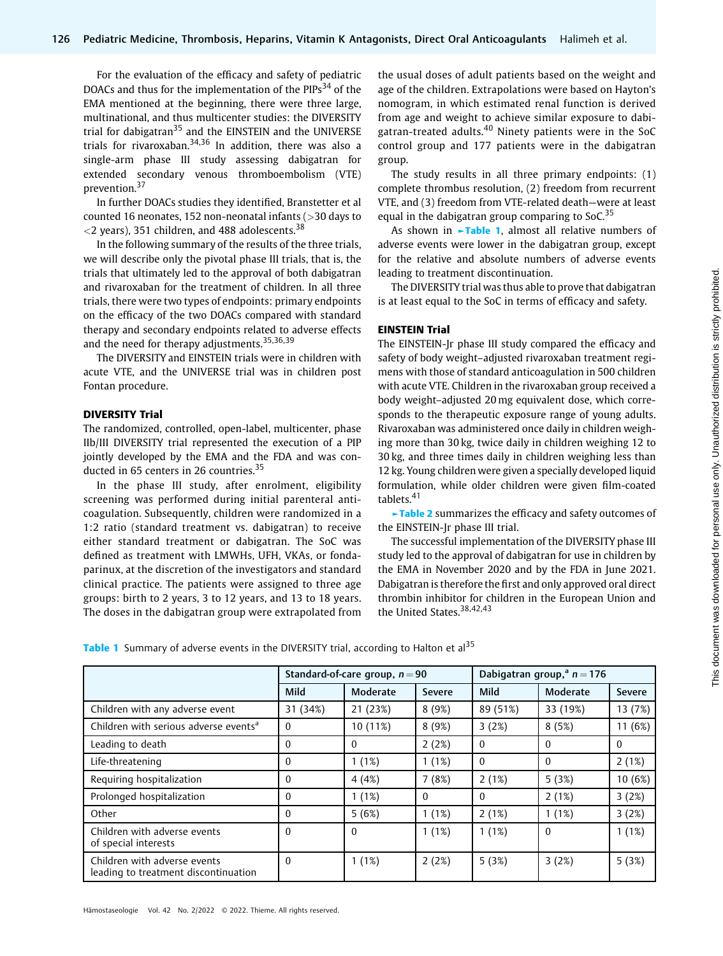For the evaluation of the efficacy and safety of pediatric DOACs and thus for the implementation of the PIPs<sup>34</sup> of the EMA mentioned at the beginning, there were three large, multinational, and thus multicenter studies: the DIVERSITY trial for dabigatran<sup>35</sup> and the EINSTEIN and the UNIVERSE trials for rivaroxaban.<sup>34,36</sup> In addition, there was also a single-arm phase III study assessing dabigatran for extended secondary venous thromboembolism (VTE) prevention.<sup>37</sup>

In further DOACs studies they identified, Branstetter et al counted 16 neonates, 152 non-neonatal infants (>30 days to  $<$ 2 years), 351 children, and 488 adolescents.<sup>38</sup>

In the following summary of the results of the three trials, we will describe only the pivotal phase III trials, that is, the trials that ultimately led to the approval of both dabigatran and rivaroxaban for the treatment of children. In all three trials, there were two types of endpoints: primary endpoints on the efficacy of the two DOACs compared with standard therapy and secondary endpoints related to adverse effects and the need for therapy adjustments.<sup>35,36,39</sup>

The DIVERSITY and EINSTEIN trials were in children with acute VTE, and the UNIVERSE trial was in children post Fontan procedure.

#### DIVERSITY Trial

The randomized, controlled, open-label, multicenter, phase IIb/III DIVERSITY trial represented the execution of a PIP jointly developed by the EMA and the FDA and was conducted in 65 centers in 26 countries.<sup>35</sup>

In the phase III study, after enrolment, eligibility screening was performed during initial parenteral anticoagulation. Subsequently, children were randomized in a 1:2 ratio (standard treatment vs. dabigatran) to receive either standard treatment or dabigatran. The SoC was defined as treatment with LMWHs, UFH, VKAs, or fondaparinux, at the discretion of the investigators and standard clinical practice. The patients were assigned to three age groups: birth to 2 years, 3 to 12 years, and 13 to 18 years. The doses in the dabigatran group were extrapolated from

the usual doses of adult patients based on the weight and age of the children. Extrapolations were based on Hayton's nomogram, in which estimated renal function is derived from age and weight to achieve similar exposure to dabigatran-treated adults.<sup>40</sup> Ninety patients were in the SoC control group and 177 patients were in the dabigatran group.

The study results in all three primary endpoints: (1) complete thrombus resolution, (2) freedom from recurrent VTE, and (3) freedom from VTE-related death—were at least equal in the dabigatran group comparing to SoC. $35$ 

As shown in  $\sim$ Table 1, almost all relative numbers of adverse events were lower in the dabigatran group, except for the relative and absolute numbers of adverse events leading to treatment discontinuation.

The DIVERSITY trial was thus able to prove that dabigatran is at least equal to the SoC in terms of efficacy and safety.

#### EINSTEIN Trial

The EINSTEIN-Jr phase III study compared the efficacy and safety of body weight–adjusted rivaroxaban treatment regimens with those of standard anticoagulation in 500 children with acute VTE. Children in the rivaroxaban group received a body weight–adjusted 20 mg equivalent dose, which corresponds to the therapeutic exposure range of young adults. Rivaroxaban was administered once daily in children weighing more than 30 kg, twice daily in children weighing 12 to 30 kg, and three times daily in children weighing less than 12 kg. Young children were given a specially developed liquid formulation, while older children were given film-coated tablets.<sup>41</sup>

►Table 2 summarizes the efficacy and safety outcomes of the EINSTEIN-Jr phase III trial.

The successful implementation of the DIVERSITY phase III study led to the approval of dabigatran for use in children by the EMA in November 2020 and by the FDA in June 2021. Dabigatran is therefore the first and only approved oral direct thrombin inhibitor for children in the European Union and the United States.<sup>38,42,43</sup>

Table 1 Summary of adverse events in the DIVERSITY trial, according to Halton et al<sup>35</sup>

|                                                                      | Standard-of-care group, $n = 90$ |          |               | Dabigatran group, <sup>a</sup> $n = 176$ |          |               |
|----------------------------------------------------------------------|----------------------------------|----------|---------------|------------------------------------------|----------|---------------|
|                                                                      | Mild                             | Moderate | <b>Severe</b> | Mild                                     | Moderate | <b>Severe</b> |
| Children with any adverse event                                      | 31 (34%)                         | 21 (23%) | 8(9%)         | 89 (51%)                                 | 33 (19%) | 13 (7%)       |
| Children with serious adverse events <sup>a</sup>                    | $\Omega$                         | 10 (11%) | 8(9%)         | 3(2%)                                    | 8(5%)    | 11 (6%)       |
| Leading to death                                                     | $\Omega$                         | $\Omega$ | 2(2%)         | $\theta$                                 | $\Omega$ | $\Omega$      |
| Life-threatening                                                     | 0                                | 1(1%)    | 1(1%)         | $\Omega$                                 | $\Omega$ | 2(1%)         |
| Requiring hospitalization                                            | $\mathbf{0}$                     | 4(4%)    | 7(8%)         | 2(1%)                                    | 5(3%)    | 10 (6%)       |
| Prolonged hospitalization                                            | $\Omega$                         | 1(1%)    | $\Omega$      | $\theta$                                 | 2(1%)    | 3(2%)         |
| Other                                                                | $\Omega$                         | 5(6%)    | 1(1%)         | 2(1%)                                    | 1(1%)    | 3(2%)         |
| Children with adverse events<br>of special interests                 | $\Omega$                         | $\Omega$ | 1(1%)         | 1(1%)                                    | $\Omega$ | 1(1%)         |
| Children with adverse events<br>leading to treatment discontinuation | $\theta$                         | 1(1%)    | 2(2%)         | 5(3%)                                    | 3(2%)    | 5(3%)         |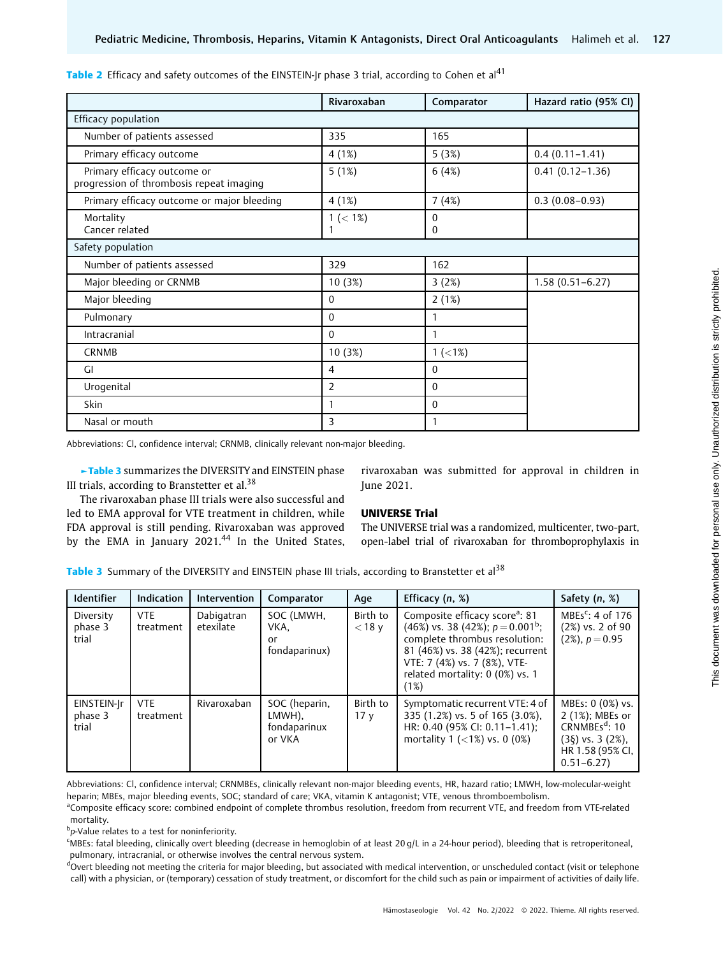|                                                                         | Rivaroxaban      | Comparator        | Hazard ratio (95% CI) |  |  |
|-------------------------------------------------------------------------|------------------|-------------------|-----------------------|--|--|
| Efficacy population                                                     |                  |                   |                       |  |  |
| Number of patients assessed                                             | 335              | 165               |                       |  |  |
| Primary efficacy outcome                                                | 4(1%)            | 5(3%)             | $0.4(0.11 - 1.41)$    |  |  |
| Primary efficacy outcome or<br>progression of thrombosis repeat imaging | 5(1%)            | 6(4%)             | $0.41(0.12 - 1.36)$   |  |  |
| Primary efficacy outcome or major bleeding                              | 4(1%)            | 7(4%)             | $0.3(0.08-0.93)$      |  |  |
| Mortality<br>Cancer related                                             | $1 (< 1\%)$<br>1 | $\mathbf{0}$<br>0 |                       |  |  |
| Safety population                                                       |                  |                   |                       |  |  |
| Number of patients assessed                                             | 329              | 162               |                       |  |  |
| Major bleeding or CRNMB                                                 | 10 (3%)          | 3(2%)             | $1.58(0.51 - 6.27)$   |  |  |
| Major bleeding                                                          | $\theta$         | 2(1%)             |                       |  |  |
| Pulmonary                                                               | $\mathbf{0}$     | 1                 |                       |  |  |
| Intracranial                                                            | $\theta$         | 1                 |                       |  |  |
| <b>CRNMB</b>                                                            | 10 (3%)          | $1 (< 1\%)$       |                       |  |  |
| GI                                                                      | $\overline{4}$   | 0                 |                       |  |  |
| Urogenital                                                              | 2                | 0                 |                       |  |  |
| <b>Skin</b>                                                             | 1                | 0                 |                       |  |  |
| Nasal or mouth                                                          | 3                | 1                 |                       |  |  |

Table 2 Efficacy and safety outcomes of the EINSTEIN-Jr phase 3 trial, according to Cohen et al<sup>41</sup>

Abbreviations: Cl, confidence interval; CRNMB, clinically relevant non-major bleeding.

►Table 3 summarizes the DIVERSITY and EINSTEIN phase III trials, according to Branstetter et al. $38$ 

rivaroxaban was submitted for approval in children in June 2021.

The rivaroxaban phase III trials were also successful and led to EMA approval for VTE treatment in children, while FDA approval is still pending. Rivaroxaban was approved by the EMA in January 2021.<sup>44</sup> In the United States,

### UNIVERSE Trial

The UNIVERSE trial was a randomized, multicenter, two-part, open-label trial of rivaroxaban for thromboprophylaxis in

Table 3 Summary of the DIVERSITY and EINSTEIN phase III trials, according to Branstetter et al<sup>38</sup>

| <b>Identifier</b>               | <b>Indication</b>       | Intervention            | Comparator                                        | Age                         | Efficacy $(n, %)$                                                                                                                                                                                                                   | Safety (n, %)                                                                                                             |
|---------------------------------|-------------------------|-------------------------|---------------------------------------------------|-----------------------------|-------------------------------------------------------------------------------------------------------------------------------------------------------------------------------------------------------------------------------------|---------------------------------------------------------------------------------------------------------------------------|
| Diversity<br>phase 3<br>trial   | <b>VTE</b><br>treatment | Dabigatran<br>etexilate | SOC (LMWH,<br>VKA.<br>or<br>fondaparinux)         | Birth to<br>$<$ 18 v        | Composite efficacy score <sup>a</sup> : 81<br>(46%) vs. 38 (42%); $p = 0.001^b$ ;<br>complete thrombus resolution:<br>81 (46%) vs. 38 (42%); recurrent<br>VTE: 7 (4%) vs. 7 (8%), VTE-<br>related mortality: 0 (0%) vs. 1<br>$1\%)$ | MBEs <sup>c</sup> : 4 of 176<br>(2%) vs. 2 of 90<br>$(2\%)$ , $p = 0.95$                                                  |
| EINSTEIN-Jr<br>phase 3<br>trial | <b>VTE</b><br>treatment | Rivaroxaban             | SOC (heparin,<br>LMWH),<br>fondaparinux<br>or VKA | Birth to<br>17 <sub>V</sub> | Symptomatic recurrent VTE: 4 of<br>335 (1.2%) vs. 5 of 165 (3.0%),<br>HR: 0.40 (95% CI: 0.11-1.41);<br>mortality $1$ (<1%) vs. 0 (0%)                                                                                               | MBEs: 0 (0%) vs.<br>2 (1%); MBEs or<br>CRNMBEs <sup>d</sup> : 10<br>(3§) vs. 3 (2%),<br>HR 1.58 (95% CI,<br>$0.51 - 6.27$ |

Abbreviations: Cl, confidence interval; CRNMBEs, clinically relevant non-major bleeding events, HR, hazard ratio; LMWH, low-molecular-weight heparin; MBEs, major bleeding events, SOC; standard of care; VKA, vitamin K antagonist; VTE, venous thromboembolism.

<sup>a</sup>Composite efficacy score: combined endpoint of complete thrombus resolution, freedom from recurrent VTE, and freedom from VTE-related mortality.

b<sub>p</sub>-Value relates to a test for noninferiority.

c MBEs: fatal bleeding, clinically overt bleeding (decrease in hemoglobin of at least 20 g/L in a 24-hour period), bleeding that is retroperitoneal, pulmonary, intracranial, or otherwise involves the central nervous system.

dOvert bleeding not meeting the criteria for major bleeding, but associated with medical intervention, or unscheduled contact (visit or telephone call) with a physician, or (temporary) cessation of study treatment, or discomfort for the child such as pain or impairment of activities of daily life.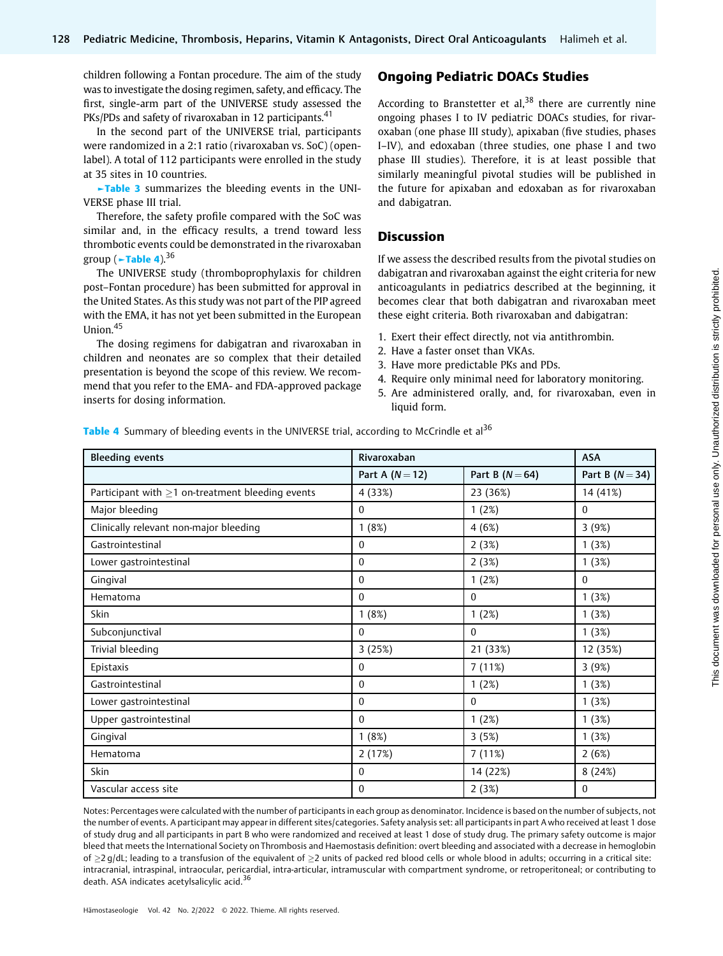children following a Fontan procedure. The aim of the study was to investigate the dosing regimen, safety, and efficacy. The first, single-arm part of the UNIVERSE study assessed the PKs/PDs and safety of rivaroxaban in 12 participants.<sup>41</sup>

In the second part of the UNIVERSE trial, participants were randomized in a 2:1 ratio (rivaroxaban vs. SoC) (openlabel). A total of 112 participants were enrolled in the study at 35 sites in 10 countries.

►Table 3 summarizes the bleeding events in the UNI-VERSE phase III trial.

Therefore, the safety profile compared with the SoC was similar and, in the efficacy results, a trend toward less thrombotic events could be demonstrated in the rivaroxaban group ( $\nu$ Table 4).<sup>36</sup>

The UNIVERSE study (thromboprophylaxis for children post–Fontan procedure) has been submitted for approval in the United States. As this study was not part of the PIP agreed with the EMA, it has not yet been submitted in the European Union.<sup>45</sup>

The dosing regimens for dabigatran and rivaroxaban in children and neonates are so complex that their detailed presentation is beyond the scope of this review. We recommend that you refer to the EMA- and FDA-approved package inserts for dosing information.

# Ongoing Pediatric DOACs Studies

According to Branstetter et al.<sup>38</sup> there are currently nine ongoing phases I to IV pediatric DOACs studies, for rivaroxaban (one phase III study), apixaban (five studies, phases I–IV), and edoxaban (three studies, one phase I and two phase III studies). Therefore, it is at least possible that similarly meaningful pivotal studies will be published in the future for apixaban and edoxaban as for rivaroxaban and dabigatran.

# Discussion

If we assess the described results from the pivotal studies on dabigatran and rivaroxaban against the eight criteria for new anticoagulants in pediatrics described at the beginning, it becomes clear that both dabigatran and rivaroxaban meet these eight criteria. Both rivaroxaban and dabigatran:

- 1. Exert their effect directly, not via antithrombin.
- 2. Have a faster onset than VKAs.
- 3. Have more predictable PKs and PDs.
- 4. Require only minimal need for laboratory monitoring.
- 5. Are administered orally, and, for rivaroxaban, even in liquid form.

Table 4 Summary of bleeding events in the UNIVERSE trial, according to McCrindle et al<sup>36</sup>

| <b>Bleeding events</b>                                 | Rivaroxaban     | <b>ASA</b>      |                 |
|--------------------------------------------------------|-----------------|-----------------|-----------------|
|                                                        | Part A $(N=12)$ | Part B $(N=64)$ | Part B $(N=34)$ |
| Participant with $\geq$ 1 on-treatment bleeding events | 4 (33%)         | 23 (36%)        | 14 (41%)        |
| Major bleeding                                         | $\Omega$        | 1(2%)           | $\mathbf{0}$    |
| Clinically relevant non-major bleeding                 | 1(8%)           | 4(6%)           | 3(9%)           |
| Gastrointestinal                                       | $\theta$        | 2(3%)           | 1(3%)           |
| Lower gastrointestinal                                 | $\mathbf{0}$    | 2(3%)           | 1(3%)           |
| Gingival                                               | $\Omega$        | 1(2%)           | $\theta$        |
| Hematoma                                               | $\Omega$        | $\Omega$        | 1(3%)           |
| Skin                                                   | 1(8%)           | 1(2%)           | 1(3%)           |
| Subconjunctival                                        | $\mathbf{0}$    | $\mathbf{0}$    | 1(3%)           |
| Trivial bleeding                                       | 3(25%)          | 21 (33%)        | 12 (35%)        |
| Epistaxis                                              | $\mathbf{0}$    | 7(11%)          | 3(9%)           |
| Gastrointestinal                                       | $\theta$        | 1(2%)           | 1(3%)           |
| Lower gastrointestinal                                 | $\Omega$        | $\Omega$        | 1(3%)           |
| Upper gastrointestinal                                 | $\mathbf{0}$    | 1(2%)           | 1(3%)           |
| Gingival                                               | 1(8%)           | 3(5%)           | 1(3%)           |
| Hematoma                                               | 2(17%)          | 7(11%)          | 2(6%)           |
| Skin                                                   | $\mathbf{0}$    | 14 (22%)        | 8(24%)          |
| Vascular access site                                   | $\Omega$        | 2(3%)           | $\theta$        |

Notes: Percentages were calculated with the number of participants in each group as denominator. Incidence is based on the number of subjects, not the number of events. A participant may appear in different sites/categories. Safety analysis set: all participants in part A who received at least 1 dose of study drug and all participants in part B who were randomized and received at least 1 dose of study drug. The primary safety outcome is major bleed that meets the International Society on Thrombosis and Haemostasis definition: overt bleeding and associated with a decrease in hemoglobin of  $\geq$ 2 g/dL; leading to a transfusion of the equivalent of  $\geq$ 2 units of packed red blood cells or whole blood in adults; occurring in a critical site: intracranial, intraspinal, intraocular, pericardial, intra-articular, intramuscular with compartment syndrome, or retroperitoneal; or contributing to death. ASA indicates acetylsalicylic acid.<sup>36</sup>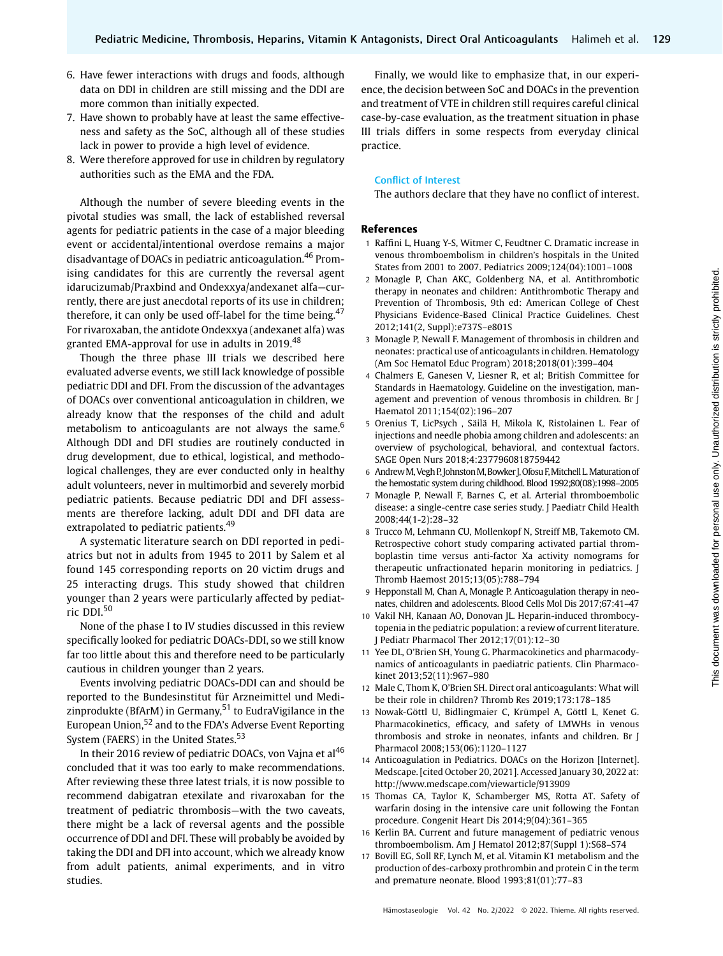- 6. Have fewer interactions with drugs and foods, although data on DDI in children are still missing and the DDI are more common than initially expected.
- 7. Have shown to probably have at least the same effectiveness and safety as the SoC, although all of these studies lack in power to provide a high level of evidence.
- 8. Were therefore approved for use in children by regulatory authorities such as the EMA and the FDA.

Although the number of severe bleeding events in the pivotal studies was small, the lack of established reversal agents for pediatric patients in the case of a major bleeding event or accidental/intentional overdose remains a major disadvantage of DOACs in pediatric anticoagulation.<sup>46</sup> Promising candidates for this are currently the reversal agent idarucizumab/Praxbind and Ondexxya/andexanet alfa—currently, there are just anecdotal reports of its use in children; therefore, it can only be used off-label for the time being. $47$ For rivaroxaban, the antidote Ondexxya (andexanet alfa) was granted EMA-approval for use in adults in 2019.<sup>48</sup>

Though the three phase III trials we described here evaluated adverse events, we still lack knowledge of possible pediatric DDI and DFI. From the discussion of the advantages of DOACs over conventional anticoagulation in children, we already know that the responses of the child and adult metabolism to anticoagulants are not always the same. $6\%$ Although DDI and DFI studies are routinely conducted in drug development, due to ethical, logistical, and methodological challenges, they are ever conducted only in healthy adult volunteers, never in multimorbid and severely morbid pediatric patients. Because pediatric DDI and DFI assessments are therefore lacking, adult DDI and DFI data are extrapolated to pediatric patients.<sup>49</sup>

A systematic literature search on DDI reported in pediatrics but not in adults from 1945 to 2011 by Salem et al found 145 corresponding reports on 20 victim drugs and 25 interacting drugs. This study showed that children younger than 2 years were particularly affected by pediatric DDI.<sup>50</sup>

None of the phase I to IV studies discussed in this review specifically looked for pediatric DOACs-DDI, so we still know far too little about this and therefore need to be particularly cautious in children younger than 2 years.

Events involving pediatric DOACs-DDI can and should be reported to the Bundesinstitut für Arzneimittel und Medizinprodukte (BfArM) in Germany,<sup>51</sup> to EudraVigilance in the European Union,<sup>52</sup> and to the FDA's Adverse Event Reporting System (FAERS) in the United States.<sup>53</sup>

In their 2016 review of pediatric DOACs, von Vajna et al<sup>46</sup> concluded that it was too early to make recommendations. After reviewing these three latest trials, it is now possible to recommend dabigatran etexilate and rivaroxaban for the treatment of pediatric thrombosis—with the two caveats, there might be a lack of reversal agents and the possible occurrence of DDI and DFI. These will probably be avoided by taking the DDI and DFI into account, which we already know from adult patients, animal experiments, and in vitro studies.

Finally, we would like to emphasize that, in our experience, the decision between SoC and DOACs in the prevention and treatment of VTE in children still requires careful clinical case-by-case evaluation, as the treatment situation in phase III trials differs in some respects from everyday clinical practice.

#### Conflict of Interest

The authors declare that they have no conflict of interest.

#### References

- 1 Raffini L, Huang Y-S, Witmer C, Feudtner C. Dramatic increase in venous thromboembolism in children's hospitals in the United States from 2001 to 2007. Pediatrics 2009;124(04):1001–1008
- 2 Monagle P, Chan AKC, Goldenberg NA, et al. Antithrombotic therapy in neonates and children: Antithrombotic Therapy and Prevention of Thrombosis, 9th ed: American College of Chest Physicians Evidence-Based Clinical Practice Guidelines. Chest 2012;141(2, Suppl):e737S–e801S
- 3 Monagle P, Newall F. Management of thrombosis in children and neonates: practical use of anticoagulants in children. Hematology (Am Soc Hematol Educ Program) 2018;2018(01):399–404
- 4 Chalmers E, Ganesen V, Liesner R, et al; British Committee for Standards in Haematology. Guideline on the investigation, management and prevention of venous thrombosis in children. Br J Haematol 2011;154(02):196–207
- 5 Orenius T, LicPsych , Säilä H, Mikola K, Ristolainen L. Fear of injections and needle phobia among children and adolescents: an overview of psychological, behavioral, and contextual factors. SAGE Open Nurs 2018;4:2377960818759442
- 6 Andrew M, Vegh P, Johnston M, Bowker J, Ofosu F, Mitchell L. Maturation of the hemostatic system during childhood. Blood 1992;80(08):1998–2005
- 7 Monagle P, Newall F, Barnes C, et al. Arterial thromboembolic disease: a single-centre case series study. J Paediatr Child Health 2008;44(1-2):28–32
- 8 Trucco M, Lehmann CU, Mollenkopf N, Streiff MB, Takemoto CM. Retrospective cohort study comparing activated partial thromboplastin time versus anti-factor Xa activity nomograms for therapeutic unfractionated heparin monitoring in pediatrics. J Thromb Haemost 2015;13(05):788–794
- 9 Hepponstall M, Chan A, Monagle P. Anticoagulation therapy in neonates, children and adolescents. Blood Cells Mol Dis 2017;67:41–47
- 10 Vakil NH, Kanaan AO, Donovan JL. Heparin-induced thrombocytopenia in the pediatric population: a review of current literature. J Pediatr Pharmacol Ther 2012;17(01):12–30
- 11 Yee DL, O'Brien SH, Young G. Pharmacokinetics and pharmacodynamics of anticoagulants in paediatric patients. Clin Pharmacokinet 2013;52(11):967–980
- 12 Male C, Thom K, O'Brien SH. Direct oral anticoagulants: What will be their role in children? Thromb Res 2019;173:178–185
- 13 Nowak-Göttl U, Bidlingmaier C, Krümpel A, Göttl L, Kenet G. Pharmacokinetics, efficacy, and safety of LMWHs in venous thrombosis and stroke in neonates, infants and children. Br J Pharmacol 2008;153(06):1120–1127
- 14 Anticoagulation in Pediatrics. DOACs on the Horizon [Internet]. Medscape. [cited October 20, 2021]. Accessed January 30, 2022 at: <http://www.medscape.com/viewarticle/913909>
- 15 Thomas CA, Taylor K, Schamberger MS, Rotta AT. Safety of warfarin dosing in the intensive care unit following the Fontan procedure. Congenit Heart Dis 2014;9(04):361–365
- 16 Kerlin BA. Current and future management of pediatric venous thromboembolism. Am J Hematol 2012;87(Suppl 1):S68–S74
- 17 Bovill EG, Soll RF, Lynch M, et al. Vitamin K1 metabolism and the production of des-carboxy prothrombin and protein C in the term and premature neonate. Blood 1993;81(01):77–83